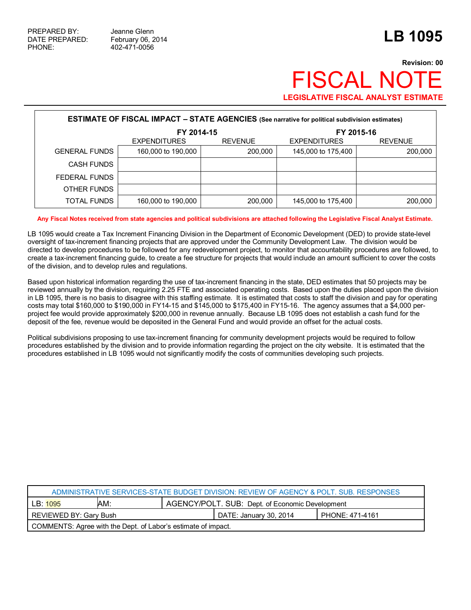## **Revision: 00 FISCAL NO LEGISLATIVE FISCAL ANALYST ESTIMATE**

| <b>ESTIMATE OF FISCAL IMPACT - STATE AGENCIES</b> (See narrative for political subdivision estimates) |                     |                |                     |                |  |  |
|-------------------------------------------------------------------------------------------------------|---------------------|----------------|---------------------|----------------|--|--|
|                                                                                                       | FY 2014-15          |                | FY 2015-16          |                |  |  |
|                                                                                                       | <b>EXPENDITURES</b> | <b>REVENUE</b> | <b>EXPENDITURES</b> | <b>REVENUE</b> |  |  |
| <b>GENERAL FUNDS</b>                                                                                  | 160,000 to 190,000  | 200,000        | 145,000 to 175,400  | 200,000        |  |  |
| <b>CASH FUNDS</b>                                                                                     |                     |                |                     |                |  |  |
| FEDERAL FUNDS                                                                                         |                     |                |                     |                |  |  |
| OTHER FUNDS                                                                                           |                     |                |                     |                |  |  |
| <b>TOTAL FUNDS</b>                                                                                    | 160,000 to 190,000  | 200,000        | 145,000 to 175,400  | 200,000        |  |  |

## **Any Fiscal Notes received from state agencies and political subdivisions are attached following the Legislative Fiscal Analyst Estimate.**

LB 1095 would create a Tax Increment Financing Division in the Department of Economic Development (DED) to provide state-level oversight of tax-increment financing projects that are approved under the Community Development Law. The division would be directed to develop procedures to be followed for any redevelopment project, to monitor that accountability procedures are followed, to create a tax-increment financing guide, to create a fee structure for projects that would include an amount sufficient to cover the costs of the division, and to develop rules and regulations.

Based upon historical information regarding the use of tax-increment financing in the state, DED estimates that 50 projects may be reviewed annually by the division, requiring 2.25 FTE and associated operating costs. Based upon the duties placed upon the division in LB 1095, there is no basis to disagree with this staffing estimate. It is estimated that costs to staff the division and pay for operating costs may total \$160,000 to \$190,000 in FY14-15 and \$145,000 to \$175,400 in FY15-16. The agency assumes that a \$4,000 perproject fee would provide approximately \$200,000 in revenue annually. Because LB 1095 does not establish a cash fund for the deposit of the fee, revenue would be deposited in the General Fund and would provide an offset for the actual costs.

Political subdivisions proposing to use tax-increment financing for community development projects would be required to follow procedures established by the division and to provide information regarding the project on the city website. It is estimated that the procedures established in LB 1095 would not significantly modify the costs of communities developing such projects.

| ADMINISTRATIVE SERVICES-STATE BUDGET DIVISION: REVIEW OF AGENCY & POLT. SUB. RESPONSES |     |                                                 |                        |                 |  |  |
|----------------------------------------------------------------------------------------|-----|-------------------------------------------------|------------------------|-----------------|--|--|
| LB: 1095                                                                               | AM: | AGENCY/POLT. SUB: Dept. of Economic Development |                        |                 |  |  |
| REVIEWED BY: Gary Bush                                                                 |     |                                                 | DATE: January 30, 2014 | PHONE: 471-4161 |  |  |
| COMMENTS: Agree with the Dept. of Labor's estimate of impact.                          |     |                                                 |                        |                 |  |  |